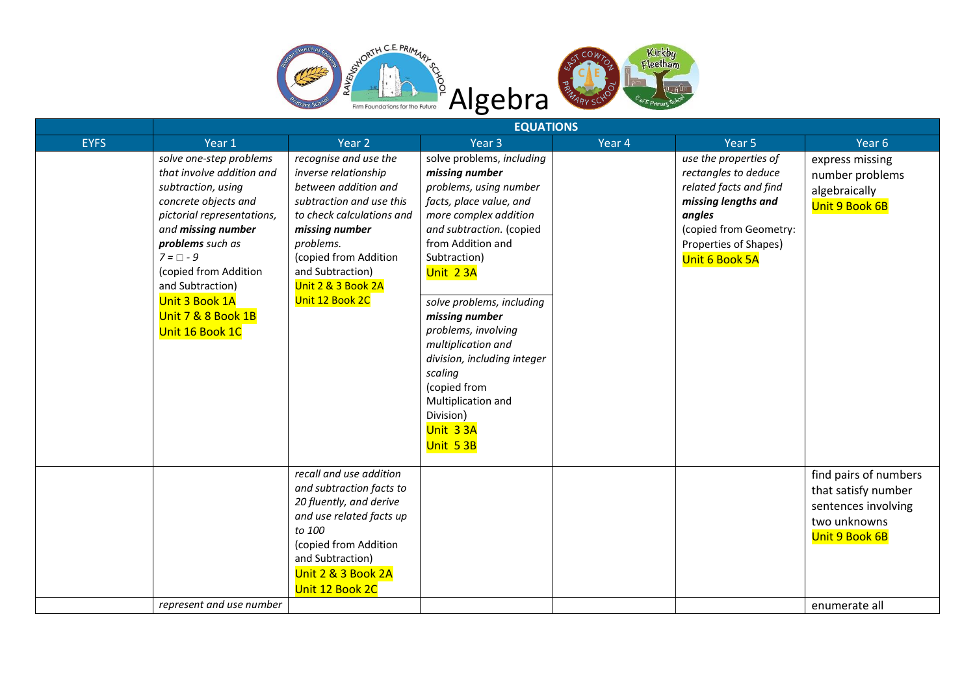



|             | <b>EQUATIONS</b>                                                                                                                                                                                                                                                                                     |                                                                                                                                                                                                                                                     |                                                                                                                                                                                                                                                                                                                                                                                                                         |        |                                                                                                                                                                               |                                                                                                       |  |  |
|-------------|------------------------------------------------------------------------------------------------------------------------------------------------------------------------------------------------------------------------------------------------------------------------------------------------------|-----------------------------------------------------------------------------------------------------------------------------------------------------------------------------------------------------------------------------------------------------|-------------------------------------------------------------------------------------------------------------------------------------------------------------------------------------------------------------------------------------------------------------------------------------------------------------------------------------------------------------------------------------------------------------------------|--------|-------------------------------------------------------------------------------------------------------------------------------------------------------------------------------|-------------------------------------------------------------------------------------------------------|--|--|
| <b>EYFS</b> | Year 1                                                                                                                                                                                                                                                                                               | Year 2                                                                                                                                                                                                                                              | Year <sub>3</sub>                                                                                                                                                                                                                                                                                                                                                                                                       | Year 4 | Year <sub>5</sub>                                                                                                                                                             | Year <sub>6</sub>                                                                                     |  |  |
|             | solve one-step problems<br>that involve addition and<br>subtraction, using<br>concrete objects and<br>pictorial representations,<br>and missing number<br>problems such as<br>$7 = \Box - 9$<br>(copied from Addition<br>and Subtraction)<br>Unit 3 Book 1A<br>Unit 7 & 8 Book 1B<br>Unit 16 Book 1C | recognise and use the<br>inverse relationship<br>between addition and<br>subtraction and use this<br>to check calculations and<br>missing number<br>problems.<br>(copied from Addition<br>and Subtraction)<br>Unit 2 & 3 Book 2A<br>Unit 12 Book 2C | solve problems, including<br>missing number<br>problems, using number<br>facts, place value, and<br>more complex addition<br>and subtraction. (copied<br>from Addition and<br>Subtraction)<br>Unit 23A<br>solve problems, including<br>missing number<br>problems, involving<br>multiplication and<br>division, including integer<br>scaling<br>(copied from<br>Multiplication and<br>Division)<br>Unit 33A<br>Unit 53B |        | use the properties of<br>rectangles to deduce<br>related facts and find<br>missing lengths and<br>angles<br>(copied from Geometry:<br>Properties of Shapes)<br>Unit 6 Book 5A | express missing<br>number problems<br>algebraically<br>Unit 9 Book 6B                                 |  |  |
|             |                                                                                                                                                                                                                                                                                                      | recall and use addition<br>and subtraction facts to<br>20 fluently, and derive<br>and use related facts up<br>to 100<br>(copied from Addition<br>and Subtraction)<br>Unit 2 & 3 Book 2A<br>Unit 12 Book 2C                                          |                                                                                                                                                                                                                                                                                                                                                                                                                         |        |                                                                                                                                                                               | find pairs of numbers<br>that satisfy number<br>sentences involving<br>two unknowns<br>Unit 9 Book 6B |  |  |
|             | represent and use number                                                                                                                                                                                                                                                                             |                                                                                                                                                                                                                                                     |                                                                                                                                                                                                                                                                                                                                                                                                                         |        |                                                                                                                                                                               | enumerate all                                                                                         |  |  |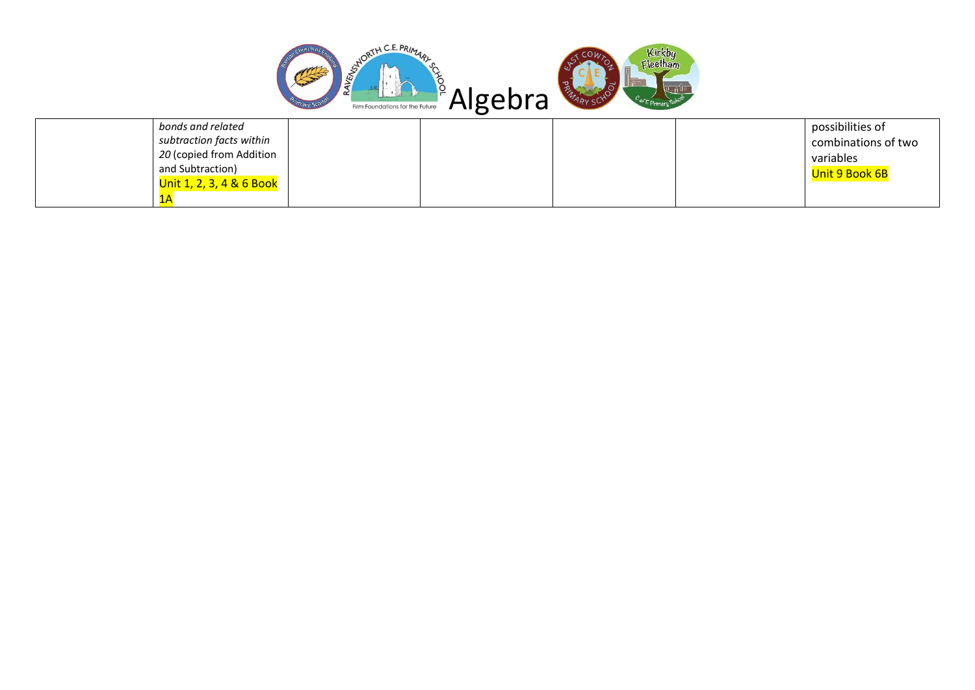

| bonds and related        |  |  | possibilities of    |
|--------------------------|--|--|---------------------|
| subtraction facts within |  |  | combinations of two |
| 20 (copied from Addition |  |  | variables           |
| and Subtraction)         |  |  | Unit 9 Book 6B      |
| Unit 1, 2, 3, 4 & 6 Book |  |  |                     |
|                          |  |  |                     |